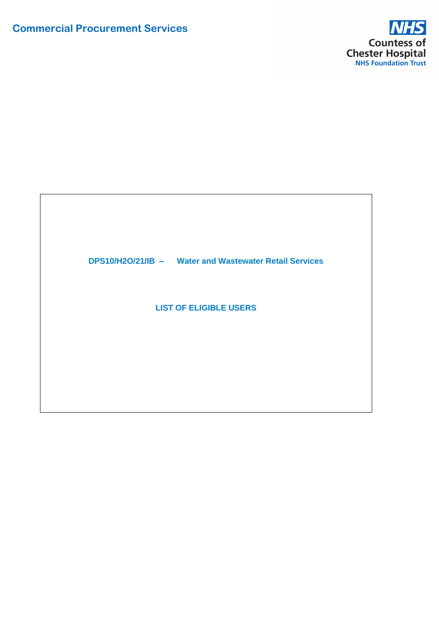

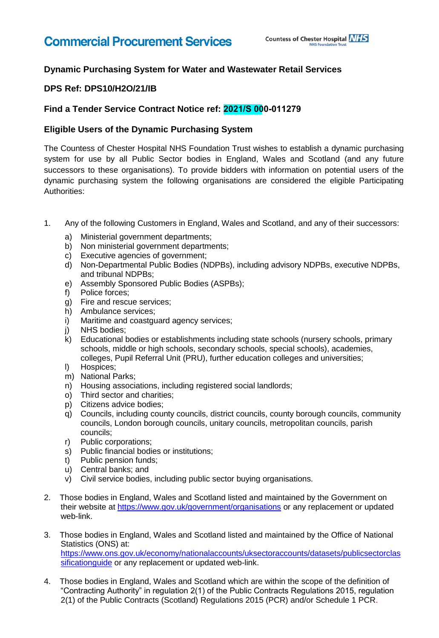## **Dynamic Purchasing System for Water and Wastewater Retail Services**

### **DPS Ref: DPS10/H2O/21/IB**

### **Find a Tender Service Contract Notice ref: 2021/S 000-011279**

### **Eligible Users of the Dynamic Purchasing System**

The Countess of Chester Hospital NHS Foundation Trust wishes to establish a dynamic purchasing system for use by all Public Sector bodies in England, Wales and Scotland (and any future successors to these organisations). To provide bidders with information on potential users of the dynamic purchasing system the following organisations are considered the eligible Participating Authorities:

- 1. Any of the following Customers in England, Wales and Scotland, and any of their successors:
	- a) Ministerial government departments;
	- b) Non ministerial government departments;
	- c) Executive agencies of government;
	- d) Non-Departmental Public Bodies (NDPBs), including advisory NDPBs, executive NDPBs, and tribunal NDPBs;
	- e) Assembly Sponsored Public Bodies (ASPBs);
	- f) Police forces;
	- g) Fire and rescue services;
	- h) Ambulance services;
	- i) Maritime and coastguard agency services;
	- j) NHS bodies;
	- k) Educational bodies or establishments including state schools (nursery schools, primary schools, middle or high schools, secondary schools, special schools), academies, colleges, Pupil Referral Unit (PRU), further education colleges and universities;
	- l) Hospices;
	- m) National Parks;
	- n) Housing associations, including registered social landlords;
	- o) Third sector and charities;
	- p) Citizens advice bodies;
	- q) Councils, including county councils, district councils, county borough councils, community councils, London borough councils, unitary councils, metropolitan councils, parish councils;
	- r) Public corporations;
	- s) Public financial bodies or institutions;
	- t) Public pension funds;
	- u) Central banks; and
	- v) Civil service bodies, including public sector buying organisations.
- 2. Those bodies in England, Wales and Scotland listed and maintained by the Government on their website at<https://www.gov.uk/government/organisations>or any replacement or updated web-link.
- 3. Those bodies in England, Wales and Scotland listed and maintained by the Office of National Statistics (ONS) at: [https://www.ons.gov.uk/economy/nationalaccounts/uksectoraccounts/datasets/publicsectorclas](https://www.ons.gov.uk/economy/nationalaccounts/uksectoraccounts/datasets/publicsectorclassificationguide) [sificationguide](https://www.ons.gov.uk/economy/nationalaccounts/uksectoraccounts/datasets/publicsectorclassificationguide) or any replacement or updated web-link.
- 4. Those bodies in England, Wales and Scotland which are within the scope of the definition of "Contracting Authority" in regulation 2(1) of the Public Contracts Regulations 2015, regulation 2(1) of the Public Contracts (Scotland) Regulations 2015 (PCR) and/or Schedule 1 PCR.